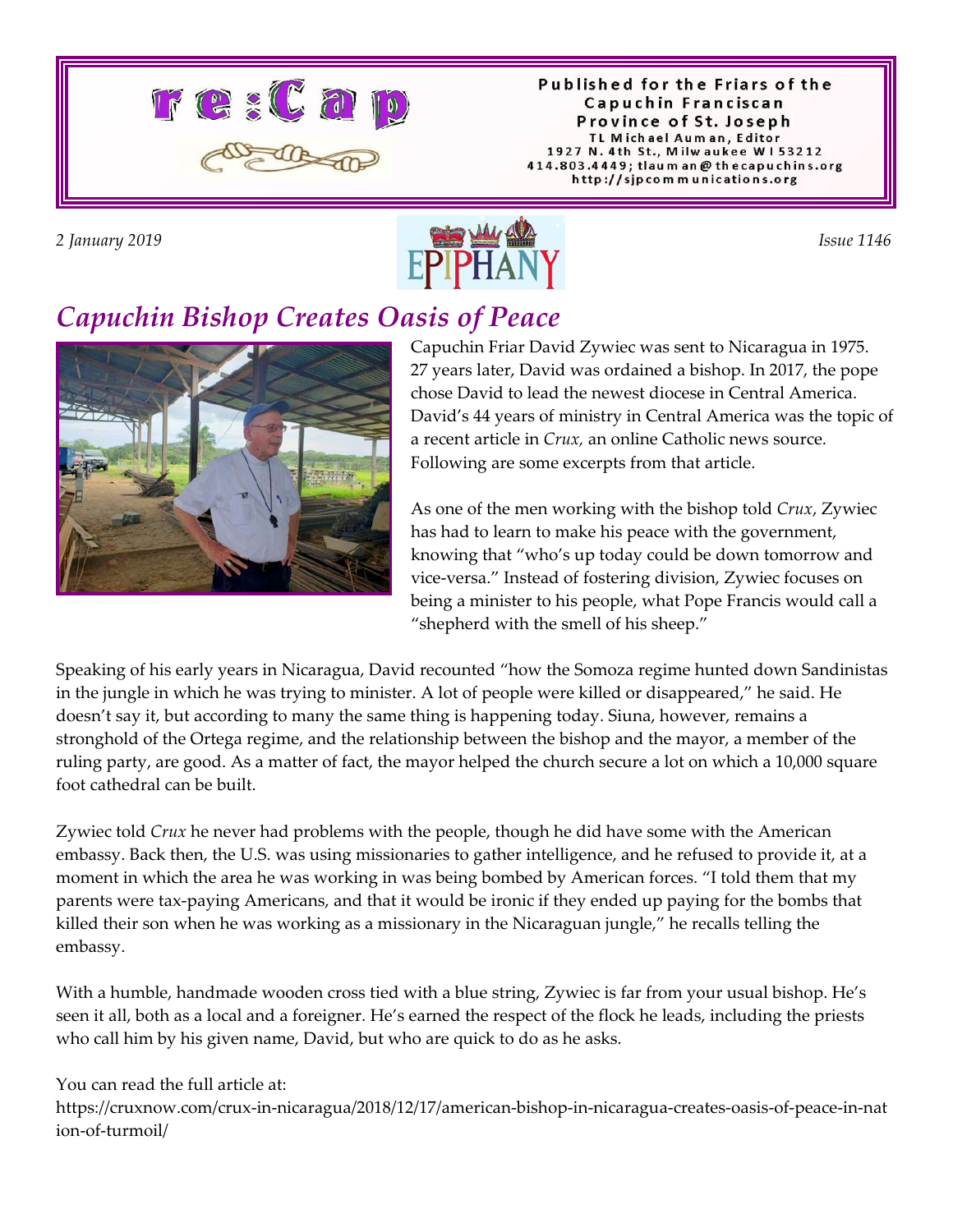

Published for the Friars of the Capuchin Franciscan Province of St. Joseph TL Michael Auman, Editor 1927 N. 4th St., Milwaukee W153212 414.803.4449; tlaum an @ thecapuchins.org http://sjpcommunications.org



# *Capuchin Bishop Creates Oasis of Peace*



Capuchin Friar David Zywiec was sent to Nicaragua in 1975. 27 years later, David was ordained a bishop. In 2017, the pope chose David to lead the newest diocese in Central America. David's 44 years of ministry in Central America was the topic of a recent article in *Crux,* an online Catholic news source. Following are some excerpts from that article.

As one of the men working with the bishop told *Crux*, Zywiec has had to learn to make his peace with the government, knowing that "who's up today could be down tomorrow and vice-versa." Instead of fostering division, Zywiec focuses on being a minister to his people, what Pope Francis would call a "shepherd with the smell of his sheep."

Speaking of his early years in Nicaragua, David recounted "how the Somoza regime hunted down Sandinistas in the jungle in which he was trying to minister. A lot of people were killed or disappeared," he said. He doesn't say it, but according to many the same thing is happening today. Siuna, however, remains a stronghold of the Ortega regime, and the relationship between the bishop and the mayor, a member of the ruling party, are good. As a matter of fact, the mayor helped the church secure a lot on which a 10,000 square foot cathedral can be built.

Zywiec told *Crux* he never had problems with the people, though he did have some with the American embassy. Back then, the U.S. was using missionaries to gather intelligence, and he refused to provide it, at a moment in which the area he was working in was being bombed by American forces. "I told them that my parents were tax-paying Americans, and that it would be ironic if they ended up paying for the bombs that killed their son when he was working as a missionary in the Nicaraguan jungle," he recalls telling the embassy.

With a humble, handmade wooden cross tied with a blue string, Zywiec is far from your usual bishop. He's seen it all, both as a local and a foreigner. He's earned the respect of the flock he leads, including the priests who call him by his given name, David, but who are quick to do as he asks.

You can read the full article at:

https://cruxnow.com/crux-in-nicaragua/2018/12/17/american-bishop-in-nicaragua-creates-oasis-of-peace-in-nat ion-of-turmoil/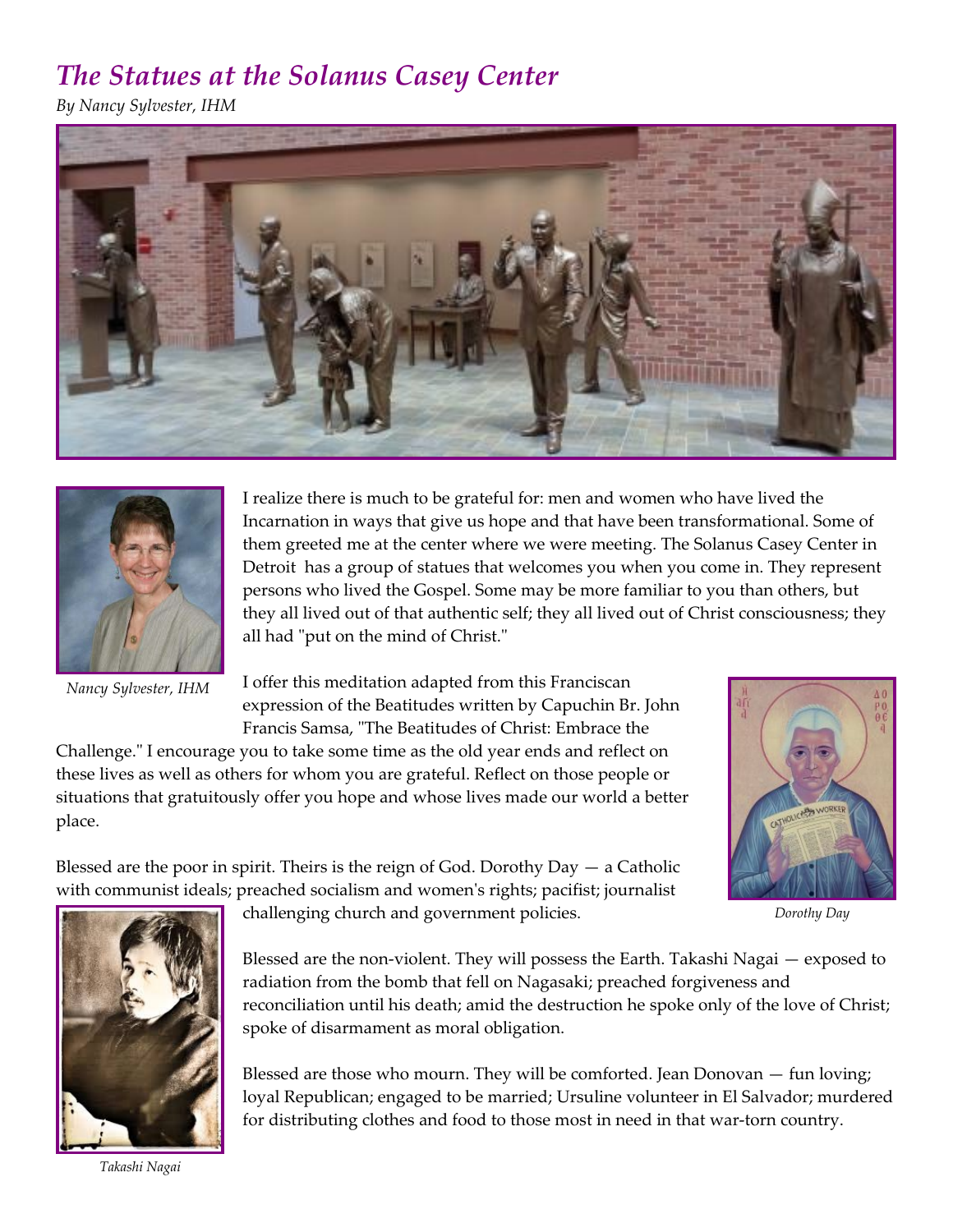## *The Statues at the Solanus Casey Center*

*By Nancy Sylvester, IHM*





*Nancy Sylvester, IHM* 

I realize there is much to be grateful for: men and women who have lived the Incarnation in ways that give us hope and that have been transformational. Some of them greeted me at the center where we were meeting. The Solanus Casey Center in Detroit has a group of statues that welcomes you when you come in. They represent persons who lived the Gospel. Some may be more familiar to you than others, but they all lived out of that authentic self; they all lived out of Christ consciousness; they all had "put on the mind of Christ."

I offer this meditation adapted from this Franciscan expression of the Beatitudes written by Capuchin Br. John Francis Samsa, "The Beatitudes of Christ: Embrace the

Challenge." I encourage you to take some time as the old year ends and reflect on these lives as well as others for whom you are grateful. Reflect on those people or situations that gratuitously offer you hope and whose lives made our world a better place.

Blessed are the poor in spirit. Theirs is the reign of God. Dorothy Day — a Catholic



*Dorothy Day*



challenging church and government policies.

Blessed are the non-violent. They will possess the Earth. Takashi Nagai — exposed to radiation from the bomb that fell on Nagasaki; preached forgiveness and reconciliation until his death; amid the destruction he spoke only of the love of Christ; spoke of disarmament as moral obligation.

Blessed are those who mourn. They will be comforted. Jean Donovan — fun loving; loyal Republican; engaged to be married; Ursuline volunteer in El Salvador; murdered for distributing clothes and food to those most in need in that war-torn country.

*Takashi Nagai*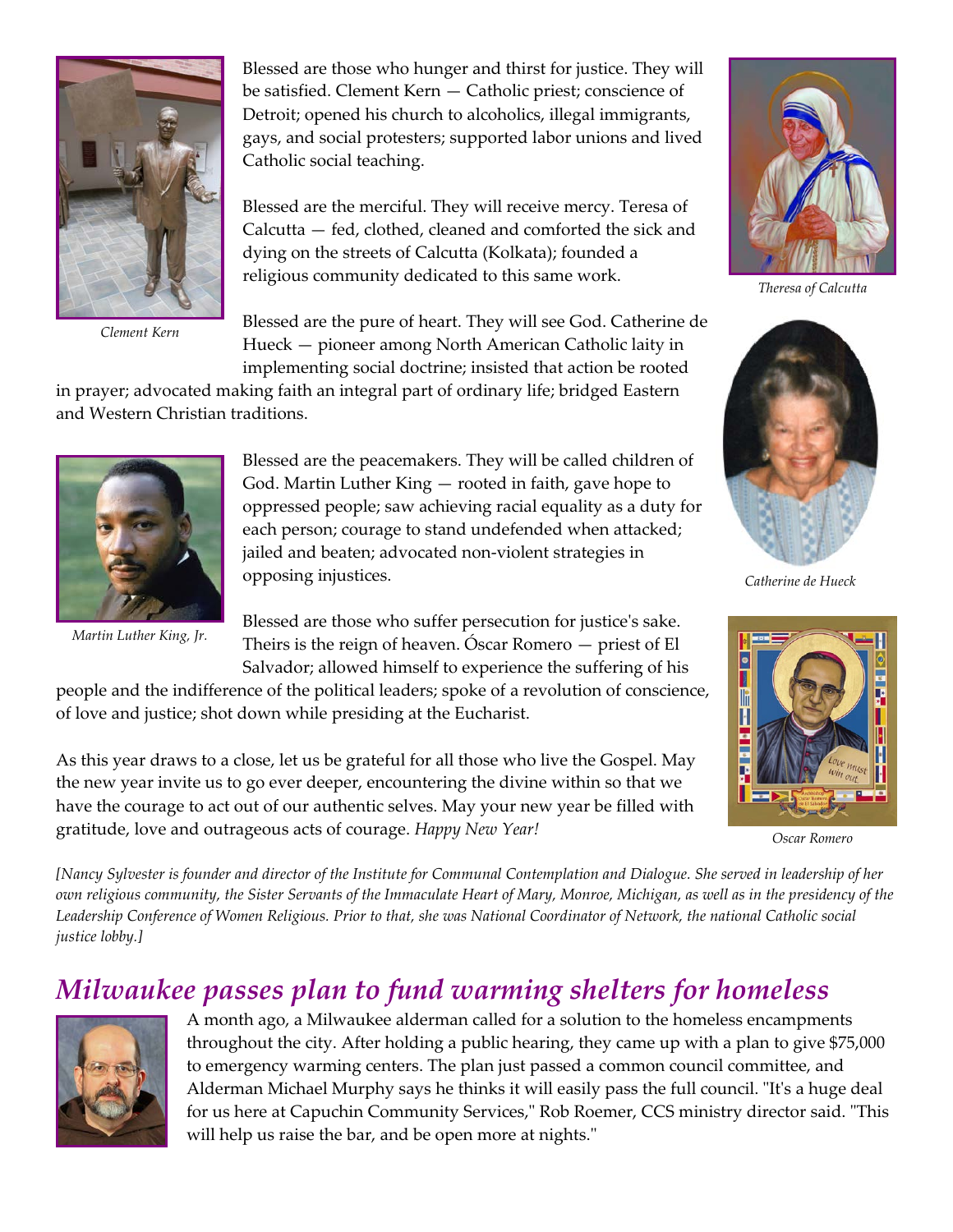

*Clement Kern*

Blessed are those who hunger and thirst for justice. They will be satisfied. Clement Kern — Catholic priest; conscience of Detroit; opened his church to alcoholics, illegal immigrants, gays, and social protesters; supported labor unions and lived Catholic social teaching.

Blessed are the merciful. They will receive mercy. Teresa of Calcutta — fed, clothed, cleaned and comforted the sick and dying on the streets of Calcutta (Kolkata); founded a religious community dedicated to this same work.

Blessed are the pure of heart. They will see God. Catherine de Hueck — pioneer among North American Catholic laity in implementing social doctrine; insisted that action be rooted

in prayer; advocated making faith an integral part of ordinary life; bridged Eastern and Western Christian traditions.



*Martin Luther King, Jr.*

Blessed are the peacemakers. They will be called children of God. Martin Luther King — rooted in faith, gave hope to oppressed people; saw achieving racial equality as a duty for each person; courage to stand undefended when attacked; jailed and beaten; advocated non-violent strategies in opposing injustices.

Blessed are those who suffer persecution for justice's sake. Theirs is the reign of heaven. Óscar Romero — priest of El Salvador; allowed himself to experience the suffering of his

people and the indifference of the political leaders; spoke of a revolution of conscience, of love and justice; shot down while presiding at the Eucharist.

As this year draws to a close, let us be grateful for all those who live the Gospel. May the new year invite us to go ever deeper, encountering the divine within so that we have the courage to act out of our authentic selves. May your new year be filled with gratitude, love and outrageous acts of courage. *Happy New Year!*



*Theresa of Calcutta*



*Catherine de Hueck*



*Oscar Romero*

*[Nancy Sylvester is founder and director of the Institute for Communal Contemplation and Dialogue. She served in leadership of her own religious community, the Sister Servants of the Immaculate Heart of Mary, Monroe, Michigan, as well as in the presidency of the Leadership Conference of Women Religious. Prior to that, she was National Coordinator of Network, the national Catholic social justice lobby.]*

### *Milwaukee passes plan to fund warming shelters for homeless*



A month ago, a Milwaukee alderman called for a solution to the homeless encampments throughout the city. After holding a public hearing, they came up with a plan to give \$75,000 to emergency warming centers. The plan just passed a common council committee, and Alderman Michael Murphy says he thinks it will easily pass the full council. "It's a huge deal for us here at Capuchin Community Services," Rob Roemer, CCS ministry director said. "This will help us raise the bar, and be open more at nights."